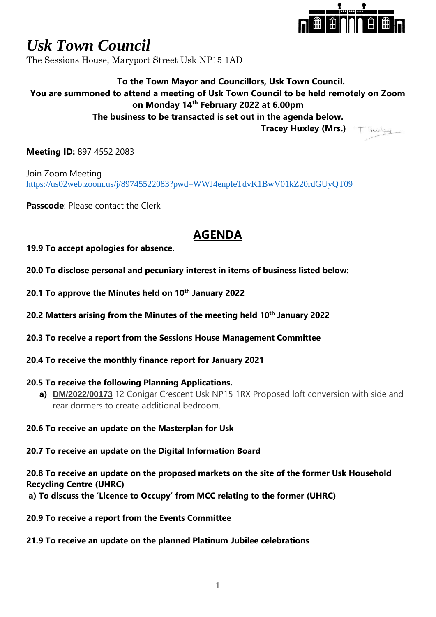

# *Usk Town Council*

The Sessions House, Maryport Street Usk NP15 1AD

## **To the Town Mayor and Councillors, Usk Town Council. You are summoned to attend a meeting of Usk Town Council to be held remotely on Zoom on Monday 14th February 2022 at 6.00pm The business to be transacted is set out in the agenda below. Tracey Huxley (Mrs.)**

**Meeting ID:** 897 4552 2083

Join Zoom Meeting <https://us02web.zoom.us/j/89745522083?pwd=WWJ4enpIeTdvK1BwV01kZ20rdGUyQT09>

**Passcode**: Please contact the Clerk

# **AGENDA**

**19.9 To accept apologies for absence.**

- **20.0 To disclose personal and pecuniary interest in items of business listed below:**
- **20.1 To approve the Minutes held on 10th January 2022**
- **20.2 Matters arising from the Minutes of the meeting held 10th January 2022**
- **20.3 To receive a report from the Sessions House Management Committee**
- **20.4 To receive the monthly finance report for January 2021**

#### **20.5 To receive the following Planning Applications.**

- **a) DM/2022/00173** 12 Conigar Crescent Usk NP15 1RX Proposed loft conversion with side and rear dormers to create additional bedroom.
- **20.6 To receive an update on the Masterplan for Usk**

**20.7 To receive an update on the Digital Information Board**

**20.8 To receive an update on the proposed markets on the site of the former Usk Household Recycling Centre (UHRC)**

**a) To discuss the 'Licence to Occupy' from MCC relating to the former (UHRC)**

**20.9 To receive a report from the Events Committee**

**21.9 To receive an update on the planned Platinum Jubilee celebrations**